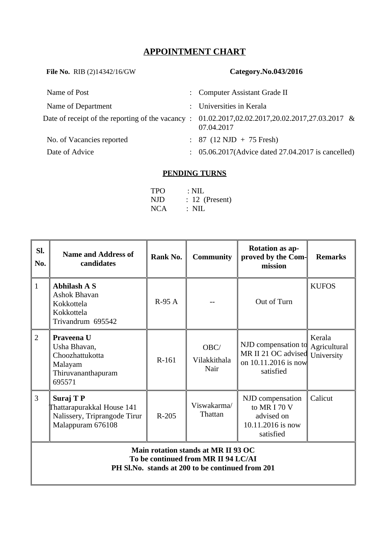# **APPOINTMENT CHART**

| File No. RIB (2)14342/16/GW                      |               | Category.No.043/2016                                        |
|--------------------------------------------------|---------------|-------------------------------------------------------------|
| Name of Post                                     |               | : Computer Assistant Grade II                               |
| Name of Department                               | $\mathcal{L}$ | Universities in Kerala                                      |
| Date of receipt of the reporting of the vacancy: |               | 01.02.2017,02.02.2017,20.02.2017,27.03.2017 &<br>07.04.2017 |
| No. of Vacancies reported                        |               | $: 87 (12 \text{ NJD} + 75 \text{ Fresh})$                  |
| Date of Advice                                   |               | 05.06.2017(Advice dated 27.04.2017 is cancelled)            |
|                                                  |               |                                                             |

## **PENDING TURNS**

| <b>TPO</b> | $\therefore$ NIL |
|------------|------------------|
| NJD        | $: 12$ (Present) |
| <b>NCA</b> | : NIL            |

| SI.<br>No.     | <b>Name and Address of</b><br>candidates                                                     | Rank No. | <b>Community</b>             | <b>Rotation as ap-</b><br>proved by the Com-<br>mission                          | <b>Remarks</b>                       |  |  |
|----------------|----------------------------------------------------------------------------------------------|----------|------------------------------|----------------------------------------------------------------------------------|--------------------------------------|--|--|
| $\mathbf{1}$   | <b>Abhilash A S</b><br>Ashok Bhavan<br>Kokkottela<br>Kokkottela<br>Trivandrum 695542         | $R-95A$  |                              | Out of Turn                                                                      | <b>KUFOS</b>                         |  |  |
| $\overline{2}$ | Praveena U<br>Usha Bhavan,<br>Choozhattukotta<br>Malayam<br>Thiruvananthapuram<br>695571     | R-161    | OBC/<br>Vilakkithala<br>Nair | NJD compensation to<br>MR II 21 OC advised<br>on 10.11.2016 is now<br>satisfied  | Kerala<br>Agricultural<br>University |  |  |
| 3              | Suraj T P<br>Thattarapurakkal House 141<br>Nalissery, Triprangode Tirur<br>Malappuram 676108 | $R-205$  | Viswakarma/<br>Thattan       | NJD compensation<br>to MR I 70 V<br>advised on<br>10.11.2016 is now<br>satisfied | Calicut                              |  |  |
|                | Main rotation stands at MR II 93 OC<br>To be continued from MR II 94 LC/AI                   |          |                              |                                                                                  |                                      |  |  |

**PH Sl.No. stands at 200 to be continued from 201**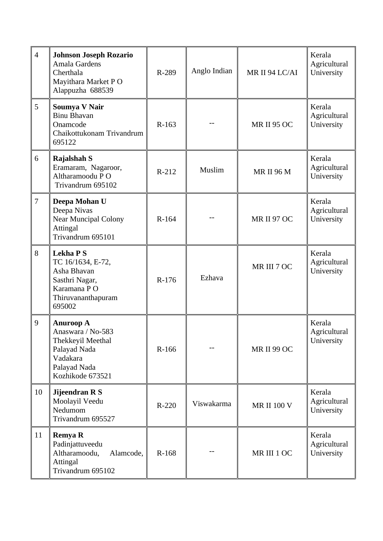| $\overline{4}$ | <b>Johnson Joseph Rozario</b><br>Amala Gardens<br>Cherthala<br>Mayithara Market PO<br>Alappuzha 688539                     | R-289   | Anglo Indian | MR II 94 LC/AI     | Kerala<br>Agricultural<br>University |
|----------------|----------------------------------------------------------------------------------------------------------------------------|---------|--------------|--------------------|--------------------------------------|
| 5              | <b>Soumya V Nair</b><br><b>Binu Bhavan</b><br>Onamcode<br>Chaikottukonam Trivandrum<br>695122                              | R-163   |              | <b>MR II 95 OC</b> | Kerala<br>Agricultural<br>University |
| 6              | <b>Rajalshah S</b><br>Eramaram, Nagaroor,<br>Altharamoodu PO<br>Trivandrum 695102                                          | R-212   | Muslim       | <b>MR II 96 M</b>  | Kerala<br>Agricultural<br>University |
| 7              | Deepa Mohan U<br>Deepa Nivas<br><b>Near Muncipal Colony</b><br>Attingal<br>Trivandrum 695101                               | R-164   |              | <b>MR II 97 OC</b> | Kerala<br>Agricultural<br>University |
| 8              | <b>Lekha PS</b><br>TC 16/1634, E-72,<br>Asha Bhavan<br>Sasthri Nagar,<br>Karamana PO<br>Thiruvananthapuram<br>695002       | R-176   | Ezhava       | MR III 7 OC        | Kerala<br>Agricultural<br>University |
| 9              | <b>Anuroop A</b><br>Anaswara / No-583<br>Thekkeyil Meethal<br>Palayad Nada<br>Vadakara<br>Palayad Nada<br>Kozhikode 673521 | R-166   |              | <b>MR II 99 OC</b> | Kerala<br>Agricultural<br>University |
| 10             | Jijeendran R S<br>Moolayil Veedu<br>Nedumom<br>Trivandrum 695527                                                           | $R-220$ | Viswakarma   | <b>MR II 100 V</b> | Kerala<br>Agricultural<br>University |
| 11             | <b>Remya R</b><br>Padinjattuveedu<br>Altharamoodu,<br>Alamcode,<br>Attingal<br>Trivandrum 695102                           | R-168   |              | MR III 1 OC        | Kerala<br>Agricultural<br>University |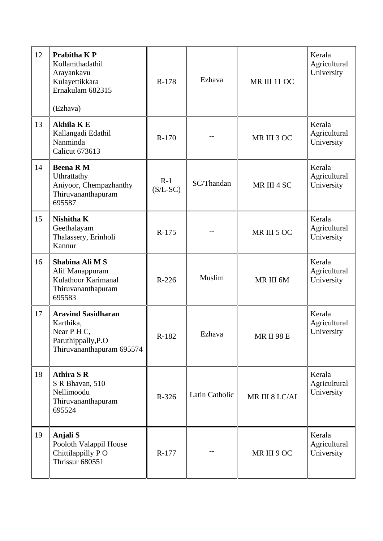| 12 | <b>Prabitha K P</b><br>Kollamthadathil<br>Arayankavu<br>Kulayettikkara<br>Ernakulam 682315<br>(Ezhava)   | R-178               | Ezhava         | <b>MR III 11 OC</b> | Kerala<br>Agricultural<br>University |
|----|----------------------------------------------------------------------------------------------------------|---------------------|----------------|---------------------|--------------------------------------|
| 13 | <b>Akhila KE</b><br>Kallangadi Edathil<br>Nanminda<br><b>Calicut 673613</b>                              | R-170               |                | MR III 3 OC         | Kerala<br>Agricultural<br>University |
| 14 | <b>Beena RM</b><br>Uthrattathy<br>Aniyoor, Chempazhanthy<br>Thiruvananthapuram<br>695587                 | $R-1$<br>$(S/L-SC)$ | SC/Thandan     | MR III 4 SC         | Kerala<br>Agricultural<br>University |
| 15 | Nishitha K<br>Geethalayam<br>Thalassery, Erinholi<br>Kannur                                              | R-175               |                | MR III 5 OC         | Kerala<br>Agricultural<br>University |
| 16 | Shabina Ali M S<br>Alif Manappuram<br><b>Kulathoor Karimanal</b><br>Thiruvananthapuram<br>695583         | R-226               | Muslim         | MR III 6M           | Kerala<br>Agricultural<br>University |
| 17 | <b>Aravind Sasidharan</b><br>Karthika,<br>Near P H C,<br>Paruthippally, P.O<br>Thiruvananthapuram 695574 | R-182               | Ezhava         | MR II 98 E          | Kerala<br>Agricultural<br>University |
| 18 | <b>Athira S R</b><br>S R Bhavan, 510<br>Nellimoodu<br>Thiruvananthapuram<br>695524                       | R-326               | Latin Catholic | MR III 8 LC/AI      | Kerala<br>Agricultural<br>University |
| 19 | <b>Anjali S</b><br>Pooloth Valappil House<br>Chittilappilly PO<br>Thrissur 680551                        | R-177               |                | MR III 9 OC         | Kerala<br>Agricultural<br>University |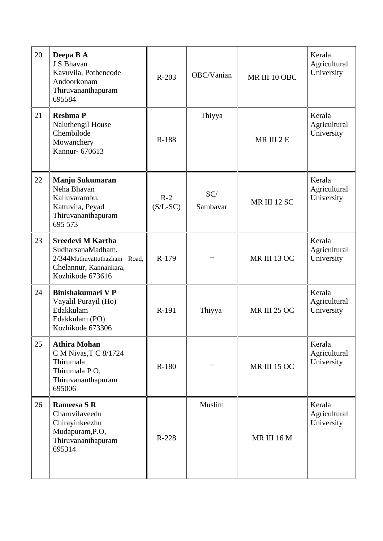| 20 | Deepa B A<br>J S Bhavan<br>Kavuvila, Pothencode<br>Andoorkonam<br>Thiruvananthapuram<br>695584                       | $R-203$             | OBC/Vanian      | MR III 10 OBC       | Kerala<br>Agricultural<br>University |
|----|----------------------------------------------------------------------------------------------------------------------|---------------------|-----------------|---------------------|--------------------------------------|
| 21 | <b>Reshma P</b><br>Naluthengil House<br>Chembilode<br>Mowanchery<br>Kannur- 670613                                   | R-188               | Thiyya          | MR III 2 E          | Kerala<br>Agricultural<br>University |
| 22 | Manju Sukumaran<br>Neha Bhavan<br>Kalluvarambu,<br>Kattuvila, Peyad<br>Thiruvananthapuram<br>695 573                 | $R-2$<br>$(S/L-SC)$ | SC/<br>Sambavar | MR III 12 SC        | Kerala<br>Agricultural<br>University |
| 23 | Sreedevi M Kartha<br>SudharsanaMadham,<br>2/344Muthuvattuthazham Road,<br>Chelannur, Kannankara,<br>Kozhikode 673616 | R-179               |                 | MR III 13 OC        | Kerala<br>Agricultural<br>University |
| 24 | Binishakumari V P<br>Vayalil Purayil (Ho)<br>Edakkulam<br>Edakkulam (PO)<br>Kozhikode 673306                         | R-191               | Thiyya          | <b>MR III 25 OC</b> | Kerala<br>Agricultural<br>University |
| 25 | <b>Athira Mohan</b><br>C M Nivas, T C 8/1724<br>Thirumala<br>Thirumala PO,<br>Thiruvananthapuram<br>695006           | R-180               |                 | <b>MR III 15 OC</b> | Kerala<br>Agricultural<br>University |
| 26 | Rameesa S R<br>Charuvilaveedu<br>Chirayinkeezhu<br>Mudapuram, P.O,<br>Thiruvananthapuram<br>695314                   | R-228               | Muslim          | MR III 16 M         | Kerala<br>Agricultural<br>University |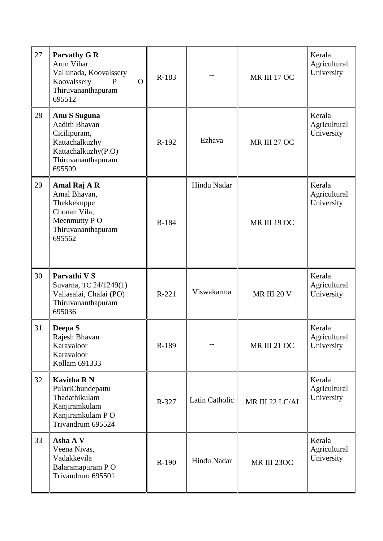| 27 | <b>Parvathy G R</b><br>Arun Vihar<br>Vallunada, Koovalssery<br>Koovalssery<br>$\Omega$<br>$\mathbf{P}$<br>Thiruvananthapuram<br>695512 | R-183   |                | MR III 17 OC        | Kerala<br>Agricultural<br>University |
|----|----------------------------------------------------------------------------------------------------------------------------------------|---------|----------------|---------------------|--------------------------------------|
| 28 | <b>Anu S Suguna</b><br>Aadith Bhavan<br>Cicilipuram,<br>Kattachalkuzhy<br>Kattachalkuzhy(P.O)<br>Thiruvananthapuram<br>695509          | R-192   | Ezhava         | MR III 27 OC        | Kerala<br>Agricultural<br>University |
| 29 | Amal Raj A R<br>Amal Bhavan,<br>Thekkekuppe<br>Chonan Vila,<br>Meenmutty PO<br>Thiruvananthapuram<br>695562                            | R-184   | Hindu Nadar    | MR III 19 OC        | Kerala<br>Agricultural<br>University |
| 30 | Parvathi V S<br>Suvarna, TC 24/1249(1)<br>Valiasalai, Chalai (PO)<br>Thiruvananthapuram<br>695036                                      | $R-221$ | Viswakarma     | MR III 20 V         | Kerala<br>Agricultural<br>University |
| 31 | Deepa S<br>Rajesh Bhavan<br>Karavaloor<br>Karavaloor<br>Kollam 691333                                                                  | R-189   |                | <b>MR III 21 OC</b> | Kerala<br>Agricultural<br>University |
| 32 | <b>Kavitha RN</b><br>PulariChundepattu<br>Thadathikulam<br>Kanjiramkulam<br>Kanjiramkulam PO<br>Trivandrum 695524                      | R-327   | Latin Catholic | MR III 22 LC/AI     | Kerala<br>Agricultural<br>University |
| 33 | Asha A V<br>Veena Nivas,<br>Vadakkevila<br>Balaramapuram PO<br>Trivandrum 695501                                                       | R-190   | Hindu Nadar    | MR III 230C         | Kerala<br>Agricultural<br>University |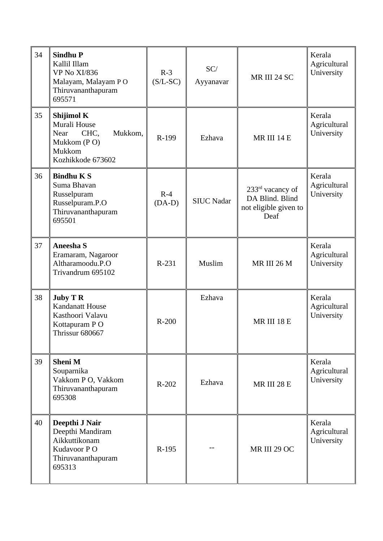| 34 | <b>Sindhu P</b><br>Kallil Illam<br><b>VP No XI/836</b><br>Malayam, Malayam PO<br>Thiruvananthapuram<br>695571 | $R-3$<br>$(S/L-SC)$ | SC/<br>Ayyanavar  | MR III 24 SC                                                                     | Kerala<br>Agricultural<br>University |
|----|---------------------------------------------------------------------------------------------------------------|---------------------|-------------------|----------------------------------------------------------------------------------|--------------------------------------|
| 35 | Shijimol K<br>Murali House<br>Mukkom,<br><b>Near</b><br>CHC.<br>Mukkom (PO)<br>Mukkom<br>Kozhikkode 673602    | R-199               | Ezhava            | MR III 14 E                                                                      | Kerala<br>Agricultural<br>University |
| 36 | <b>Bindhu K S</b><br>Suma Bhavan<br>Russelpuram<br>Russelpuram.P.O<br>Thiruvananthapuram<br>695501            | $R-4$<br>$(DA-D)$   | <b>SIUC Nadar</b> | 233 <sup>rd</sup> vacancy of<br>DA Blind. Blind<br>not eligible given to<br>Deaf | Kerala<br>Agricultural<br>University |
| 37 | <b>Aneesha S</b><br>Eramaram, Nagaroor<br>Altharamoodu.P.O<br>Trivandrum 695102                               | R-231               | Muslim            | MR III 26 M                                                                      | Kerala<br>Agricultural<br>University |
| 38 | <b>Juby T R</b><br><b>Kandanatt House</b><br>Kasthoori Valavu<br>Kottapuram PO<br>Thrissur 680667             | $R-200$             | Ezhava            | MR III 18 E                                                                      | Kerala<br>Agricultural<br>University |
| 39 | <b>Sheni M</b><br>Souparnika<br>Vakkom P O, Vakkom<br>Thiruvananthapuram<br>695308                            | $R-202$             | Ezhava            | MR III 28 E                                                                      | Kerala<br>Agricultural<br>University |
| 40 | Deepthi J Nair<br>Deepthi Mandiram<br>Aikkuttikonam<br>Kudavoor PO<br>Thiruvananthapuram<br>695313            | R-195               |                   | MR III 29 OC                                                                     | Kerala<br>Agricultural<br>University |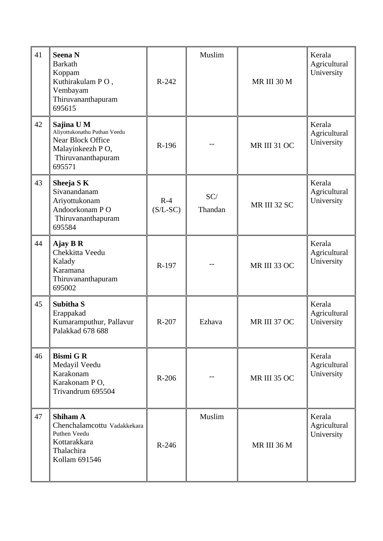| 41 | <b>Seena N</b><br><b>Barkath</b><br>Koppam<br>Kuthirakulam PO,<br>Vembayam<br>Thiruvananthapuram<br>695615                 | $R-242$             | Muslim         | MR III 30 M  | Kerala<br>Agricultural<br>University |
|----|----------------------------------------------------------------------------------------------------------------------------|---------------------|----------------|--------------|--------------------------------------|
| 42 | Sajina U M<br>Aliyottukonathu Puthan Veedu<br><b>Near Block Office</b><br>Malayinkeezh PO,<br>Thiruvananthapuram<br>695571 | R-196               |                | MR III 31 OC | Kerala<br>Agricultural<br>University |
| 43 | Sheeja S K<br>Sivanandanam<br>Ariyottukonam<br>Andoorkonam PO<br>Thiruvananthapuram<br>695584                              | $R-4$<br>$(S/L-SC)$ | SC/<br>Thandan | MR III 32 SC | Kerala<br>Agricultural<br>University |
| 44 | Ajay B R<br>Chekkitta Veedu<br>Kalady<br>Karamana<br>Thiruvananthapuram<br>695002                                          | R-197               |                | MR III 33 OC | Kerala<br>Agricultural<br>University |
| 45 | Subitha S<br>Erappakad<br>Kumaramputhur, Pallavur<br>Palakkad 678 688                                                      | R-207               | Ezhava         | MR III 37 OC | Kerala<br>Agricultural<br>University |
| 46 | <b>Bismi G R</b><br>Medayil Veedu<br>Karakonam<br>Karakonam PO,<br>Trivandrum 695504                                       | $R-206$             |                | MR III 35 OC | Kerala<br>Agricultural<br>University |
| 47 | <b>Shiham A</b><br>Chenchalamcottu Vadakkekara<br>Puthen Veedu<br>Kottarakkara<br>Thalachira<br>Kollam 691546              | $R-246$             | Muslim         | MR III 36 M  | Kerala<br>Agricultural<br>University |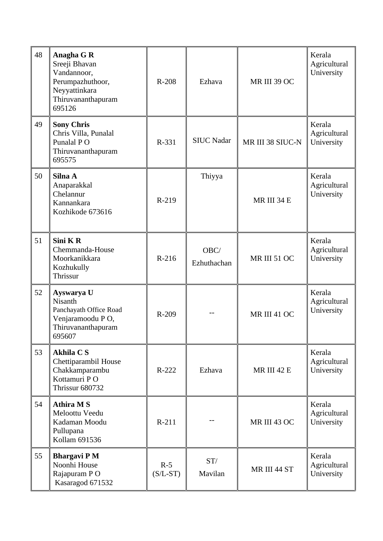| 48 | Anagha G R<br>Sreeji Bhavan<br>Vandannoor,<br>Perumpazhuthoor,<br>Neyyattinkara<br>Thiruvananthapuram<br>695126 | $R-208$             | Ezhava              | MR III 39 OC       | Kerala<br>Agricultural<br>University |
|----|-----------------------------------------------------------------------------------------------------------------|---------------------|---------------------|--------------------|--------------------------------------|
| 49 | <b>Sony Chris</b><br>Chris Villa, Punalal<br>Punalal PO<br>Thiruvananthapuram<br>695575                         | R-331               | <b>SIUC Nadar</b>   | MR III 38 SIUC-N   | Kerala<br>Agricultural<br>University |
| 50 | Silna A<br>Anaparakkal<br>Chelannur<br>Kannankara<br>Kozhikode 673616                                           | R-219               | Thiyya              | MR III 34 E        | Kerala<br>Agricultural<br>University |
| 51 | Sini KR<br>Chemmanda-House<br>Moorkanikkara<br>Kozhukully<br>Thrissur                                           | R-216               | OBC/<br>Ezhuthachan | MR III 51 OC       | Kerala<br>Agricultural<br>University |
| 52 | Ayswarya U<br>Nisanth<br>Panchayath Office Road<br>Venjaramoodu PO,<br>Thiruvananthapuram<br>695607             | R-209               |                     | MR III 41 OC       | Kerala<br>Agricultural<br>University |
| 53 | <b>Akhila CS</b><br>Chettiparambil House<br>Chakkamparambu<br>Kottamuri PO<br><b>Thrissur 680732</b>            | $R-222$             | Ezhava              | <b>MR III 42 E</b> | Kerala<br>Agricultural<br>University |
| 54 | <b>Athira MS</b><br>Meloottu Veedu<br>Kadaman Moodu<br>Pullupana<br>Kollam 691536                               | R-211               |                     | MR III 43 OC       | Kerala<br>Agricultural<br>University |
| 55 | <b>Bhargavi PM</b><br>Noonhi House<br>Rajapuram PO<br>Kasaragod 671532                                          | $R-5$<br>$(S/L-ST)$ | ST/<br>Mavilan      | MR III 44 ST       | Kerala<br>Agricultural<br>University |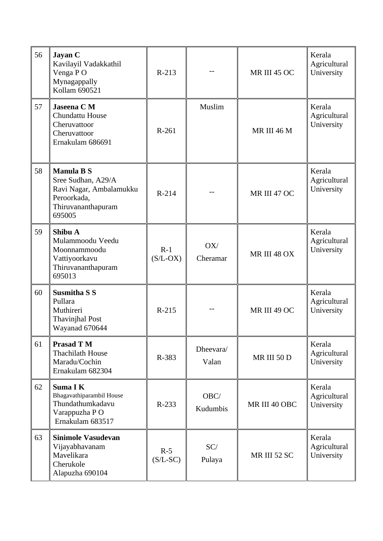| 56 | Jayan C<br>Kavilayil Vadakkathil<br>Venga PO<br>Mynagappally<br>Kollam 690521                                     | $R-213$             |                    | <b>MR III 45 OC</b> | Kerala<br>Agricultural<br>University |
|----|-------------------------------------------------------------------------------------------------------------------|---------------------|--------------------|---------------------|--------------------------------------|
| 57 | Jaseena C M<br>Chundattu House<br>Cheruvattoor<br>Cheruvattoor<br>Ernakulam 686691                                | R-261               | Muslim             | <b>MR III 46 M</b>  | Kerala<br>Agricultural<br>University |
| 58 | <b>Manula B S</b><br>Sree Sudhan, A29/A<br>Ravi Nagar, Ambalamukku<br>Peroorkada,<br>Thiruvananthapuram<br>695005 | $R-214$             |                    | MR III 47 OC        | Kerala<br>Agricultural<br>University |
| 59 | Shibu A<br>Mulammoodu Veedu<br>Moonnammoodu<br>Vattiyoorkavu<br>Thiruvananthapuram<br>695013                      | $R-1$<br>$(S/L-OX)$ | OX/<br>Cheramar    | MR III 48 OX        | Kerala<br>Agricultural<br>University |
| 60 | <b>Susmitha S S</b><br>Pullara<br>Muthireri<br><b>Thavinjhal Post</b><br>Wayanad 670644                           | $R-215$             |                    | MR III 49 OC        | Kerala<br>Agricultural<br>University |
| 61 | <b>Prasad T M</b><br><b>Thachilath House</b><br>Maradu/Cochin<br>Ernakulam 682304                                 | R-383               | Dheevara/<br>Valan | <b>MR III 50 D</b>  | Kerala<br>Agricultural<br>University |
| 62 | Suma I K<br>Bhagavathiparambil House<br>Thundathumkadavu<br>Varappuzha PO<br>Ernakulam 683517                     | $R-233$             | OBC/<br>Kudumbis   | MR III 40 OBC       | Kerala<br>Agricultural<br>University |
| 63 | Sinimole Vasudevan<br>Vijayabhavanam<br>Mavelikara<br>Cherukole<br>Alapuzha 690104                                | $R-5$<br>$(S/L-SC)$ | SC/<br>Pulaya      | <b>MR III 52 SC</b> | Kerala<br>Agricultural<br>University |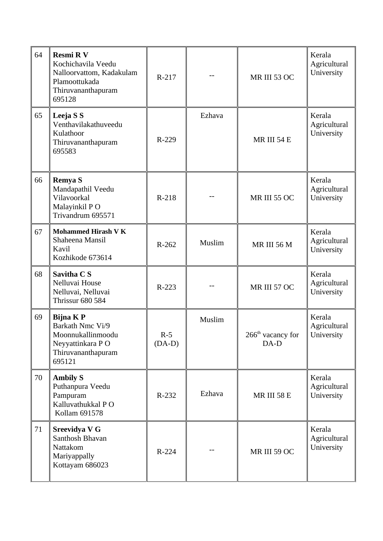| 64 | <b>Resmi RV</b><br>Kochichavila Veedu<br>Nalloorvattom, Kadakulam<br>Plamoottukada<br>Thiruvananthapuram<br>695128 | R-217             |        | MR III 53 OC                          | Kerala<br>Agricultural<br>University |
|----|--------------------------------------------------------------------------------------------------------------------|-------------------|--------|---------------------------------------|--------------------------------------|
| 65 | Leeja S S<br>Venthavilakathuveedu<br>Kulathoor<br>Thiruvananthapuram<br>695583                                     | R-229             | Ezhava | MR III 54 E                           | Kerala<br>Agricultural<br>University |
| 66 | <b>Remya S</b><br>Mandapathil Veedu<br>Vilavoorkal<br>Malayinkil PO<br>Trivandrum 695571                           | R-218             |        | <b>MR III 55 OC</b>                   | Kerala<br>Agricultural<br>University |
| 67 | <b>Mohammed Hirash V K</b><br>Shaheena Mansil<br>Kavil<br>Kozhikode 673614                                         | $R-262$           | Muslim | <b>MR III 56 M</b>                    | Kerala<br>Agricultural<br>University |
| 68 | Savitha C S<br>Nelluvai House<br>Nelluvai, Nelluvai<br><b>Thrissur 680 584</b>                                     | R-223             |        | MR III 57 OC                          | Kerala<br>Agricultural<br>University |
| 69 | <b>Bijna KP</b><br>Barkath Nmc Vi/9<br>Moonnukallinmoodu<br>Neyyattinkara PO<br>Thiruvananthapuram<br>695121       | $R-5$<br>$(DA-D)$ | Muslim | 266 <sup>th</sup> vacancy for<br>DA-D | Kerala<br>Agricultural<br>University |
| 70 | <b>Ambily S</b><br>Puthanpura Veedu<br>Pampuram<br>Kalluvathukkal PO<br>Kollam 691578                              | R-232             | Ezhava | <b>MR III 58 E</b>                    | Kerala<br>Agricultural<br>University |
| 71 | <b>Sreevidya V G</b><br>Santhosh Bhavan<br>Nattakom<br>Mariyappally<br>Kottayam 686023                             | $R-224$           |        | MR III 59 OC                          | Kerala<br>Agricultural<br>University |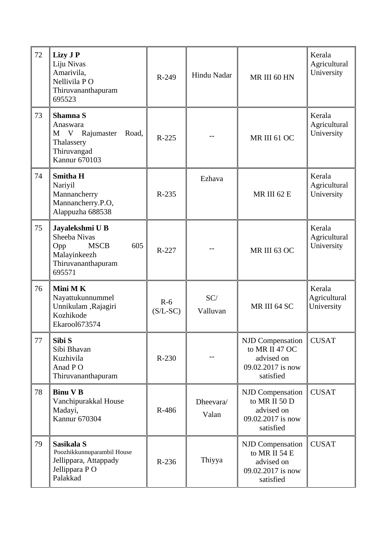| 72 | Lizy J P<br>Liju Nivas<br>Amarivila,<br>Nellivila PO<br>Thiruvananthapuram<br>695523                         | R-249               | Hindu Nadar        | MR III 60 HN                                                                             | Kerala<br>Agricultural<br>University |
|----|--------------------------------------------------------------------------------------------------------------|---------------------|--------------------|------------------------------------------------------------------------------------------|--------------------------------------|
| 73 | Shamna S<br>Anaswara<br>Rajumaster<br>Road,<br>M V<br>Thalassery<br>Thiruvangad<br><b>Kannur 670103</b>      | R-225               |                    | MR III 61 OC                                                                             | Kerala<br>Agricultural<br>University |
| 74 | <b>Smitha H</b><br>Nariyil<br>Mannancherry<br>Mannancherry.P.O,<br>Alappuzha 688538                          | R-235               | Ezhava             | <b>MR III 62 E</b>                                                                       | Kerala<br>Agricultural<br>University |
| 75 | Jayalekshmi U B<br>Sheeba Nivas<br>605<br><b>MSCB</b><br>Opp<br>Malayinkeezh<br>Thiruvananthapuram<br>695571 | $R-227$             |                    | MR III 63 OC                                                                             | Kerala<br>Agricultural<br>University |
| 76 | Mini MK<br>Nayattukunnummel<br>Unnikulam ,Rajagiri<br>Kozhikode<br>Ekarool673574                             | $R-6$<br>$(S/L-SC)$ | SC/<br>Valluvan    | MR III 64 SC                                                                             | Kerala<br>Agricultural<br>University |
| 77 | Sibi S<br>Sibi Bhavan<br>Kuzhivila<br>Anad PO<br>Thiruvananthapuram                                          | $R-230$             |                    | NJD Compensation<br>to MR II 47 OC<br>advised on<br>09.02.2017 is now<br>satisfied       | <b>CUSAT</b>                         |
| 78 | <b>Binu V B</b><br>Vanchipurakkal House<br>Madayi,<br><b>Kannur 670304</b>                                   | R-486               | Dheevara/<br>Valan | <b>NJD Compensation</b><br>to MR II 50 D<br>advised on<br>09.02.2017 is now<br>satisfied | <b>CUSAT</b>                         |
| 79 | Sasikala S<br>Poozhikkunnuparambil House<br>Jellippara, Attappady<br>Jellippara PO<br>Palakkad               | $R-236$             | Thiyya             | <b>NJD Compensation</b><br>to MR II 54 E<br>advised on<br>09.02.2017 is now<br>satisfied | <b>CUSAT</b>                         |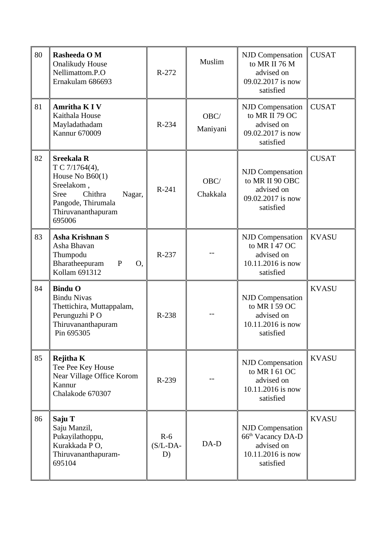| 80 | Rasheeda O M<br><b>Onalikudy House</b><br>Nellimattom.P.O<br>Ernakulam 686693                                                                                    | $R-272$                   | Muslim           | <b>NJD Compensation</b><br>to MR II 76 M<br>advised on<br>09.02.2017 is now<br>satisfied                 | <b>CUSAT</b> |
|----|------------------------------------------------------------------------------------------------------------------------------------------------------------------|---------------------------|------------------|----------------------------------------------------------------------------------------------------------|--------------|
| 81 | <b>Amritha K I V</b><br>Kaithala House<br>Mayladathadam<br><b>Kannur 670009</b>                                                                                  | R-234                     | OBC/<br>Maniyani | <b>NJD Compensation</b><br>to MR II 79 OC<br>advised on<br>09.02.2017 is now<br>satisfied                | <b>CUSAT</b> |
| 82 | <b>Sreekala R</b><br>T C 7/1764(4),<br>House No $B60(1)$<br>Sreelakom,<br>Chithra<br><b>Sree</b><br>Nagar,<br>Pangode, Thirumala<br>Thiruvananthapuram<br>695006 | R-241                     | OBC/<br>Chakkala | <b>NJD Compensation</b><br>to MR II 90 OBC<br>advised on<br>09.02.2017 is now<br>satisfied               | <b>CUSAT</b> |
| 83 | Asha Krishnan S<br>Asha Bhavan<br>Thumpodu<br>Bharatheepuram<br>$\mathbf{P}$<br>O,<br>Kollam 691312                                                              | R-237                     |                  | <b>NJD Compensation</b><br>to MR I 47 OC<br>advised on<br>10.11.2016 is now<br>satisfied                 | <b>KVASU</b> |
| 84 | <b>Bindu O</b><br><b>Bindu Nivas</b><br>Thettichira, Muttappalam,<br>Perunguzhi PO<br>Thiruvananthapuram<br>Pin 695305                                           | R-238                     |                  | <b>NJD Compensation</b><br>to MR I 59 OC<br>advised on<br>10.11.2016 is now<br>satisfied                 | <b>KVASU</b> |
| 85 | <b>Rejitha K</b><br>Tee Pee Key House<br>Near Village Office Korom<br>Kannur<br>Chalakode 670307                                                                 | R-239                     |                  | <b>NJD Compensation</b><br>to MR I 61 OC<br>advised on<br>10.11.2016 is now<br>satisfied                 | <b>KVASU</b> |
| 86 | Saju T<br>Saju Manzil,<br>Pukayilathoppu,<br>Kurakkada P O,<br>Thiruvananthapuram-<br>695104                                                                     | $R-6$<br>$(S/L-DA-$<br>D) | DA-D             | <b>NJD Compensation</b><br>66 <sup>th</sup> Vacancy DA-D<br>advised on<br>10.11.2016 is now<br>satisfied | <b>KVASU</b> |